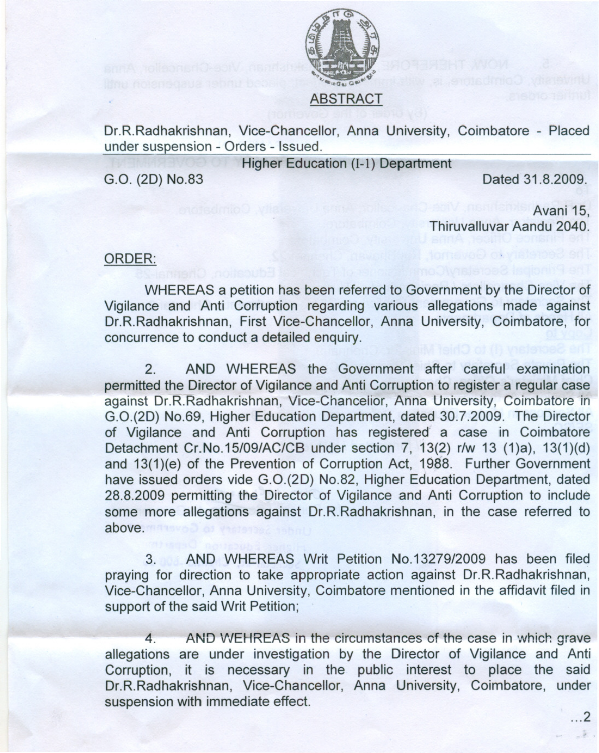

Dr.R.Radhakrishnan, Vice-Chancellor, Anna University, Coimbatore - Placed

under suspension - Orders - Issued.

Higher Education (1-1) Department

G.O. (20) NO.83

Dated 31.8.2009.

Avani 15, Thiruvalluvar Aandu 2040.

## ORDER:

WHEREAS a petition has been referred to Government by the Director of Vigilance and Anti Corruption regarding various allegations made against Dr.R.Radhakrishnan, First Vice-Chancellor, Anna University, Coimbatore, for concurrence to conduct a detailed enquiry.

2. AND WHEREAS the Government after careful examination permitted the Director of Vigilance and Anti Corruption to register a regular case against Dr.R.Radhakrishnan, Vice-Chancelior, Anna University, Coimbatore in G.0.(2D) NO.59, Higher Education Department, dated 30.7.2009. The Director of Vigilance and Anti Corruption has registered" a case in Coimbatore Detachment Cr.No.15/09/AC/CB under section 7, 13(2) r/w 13 (1)a), 13(1)(d) and 13(1)(e) of the Prevention of Corruption Act, 1988. Further Government have issued orders vide G.O.(2D) No.82, Higher Education Department, dated 28.8.2009 permitting the Director of Vigilance and Anti Corruption to include some more allegations against Dr.R.Radhakrishnan, in the case referred to above.

3. AND WHEREAS Writ Petition NO.13279/2009 has been filed praying for direction to take appropriate action against Dr.R.Radhakrishnan, Vice-Chancellor, Anna University, Coimbatore mentioned in the affidavit filed in support of the said Writ Petition;

4. AND WEHREAS in the circumstances of the case in which grave allegations are under investigation by the Director of Vigilance and Anti Corruption, it is necessary in the public interest to place the said Dr.R.Radhakrishnan, Vice-Chancellor, Anna University, Coimbatore, under suspension with immediate effect.